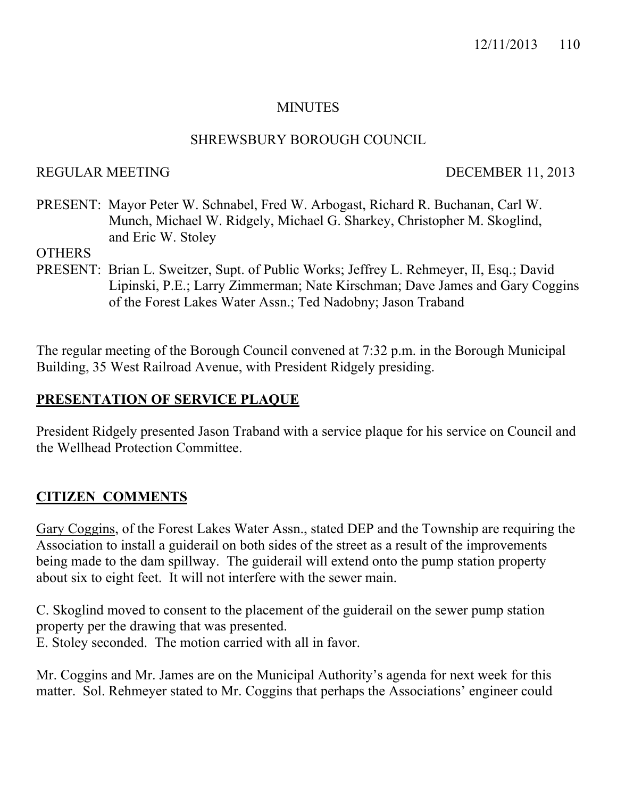# **MINUTES**

### SHREWSBURY BOROUGH COUNCIL

### REGULAR MEETING DECEMBER 11, 2013

PRESENT: Mayor Peter W. Schnabel, Fred W. Arbogast, Richard R. Buchanan, Carl W. Munch, Michael W. Ridgely, Michael G. Sharkey, Christopher M. Skoglind, and Eric W. Stoley

**OTHERS** 

PRESENT: Brian L. Sweitzer, Supt. of Public Works; Jeffrey L. Rehmeyer, II, Esq.; David Lipinski, P.E.; Larry Zimmerman; Nate Kirschman; Dave James and Gary Coggins of the Forest Lakes Water Assn.; Ted Nadobny; Jason Traband

The regular meeting of the Borough Council convened at 7:32 p.m. in the Borough Municipal Building, 35 West Railroad Avenue, with President Ridgely presiding.

# **PRESENTATION OF SERVICE PLAQUE**

President Ridgely presented Jason Traband with a service plaque for his service on Council and the Wellhead Protection Committee.

# **CITIZEN COMMENTS**

Gary Coggins, of the Forest Lakes Water Assn., stated DEP and the Township are requiring the Association to install a guiderail on both sides of the street as a result of the improvements being made to the dam spillway. The guiderail will extend onto the pump station property about six to eight feet. It will not interfere with the sewer main.

C. Skoglind moved to consent to the placement of the guiderail on the sewer pump station property per the drawing that was presented. E. Stoley seconded. The motion carried with all in favor.

Mr. Coggins and Mr. James are on the Municipal Authority's agenda for next week for this matter. Sol. Rehmeyer stated to Mr. Coggins that perhaps the Associations' engineer could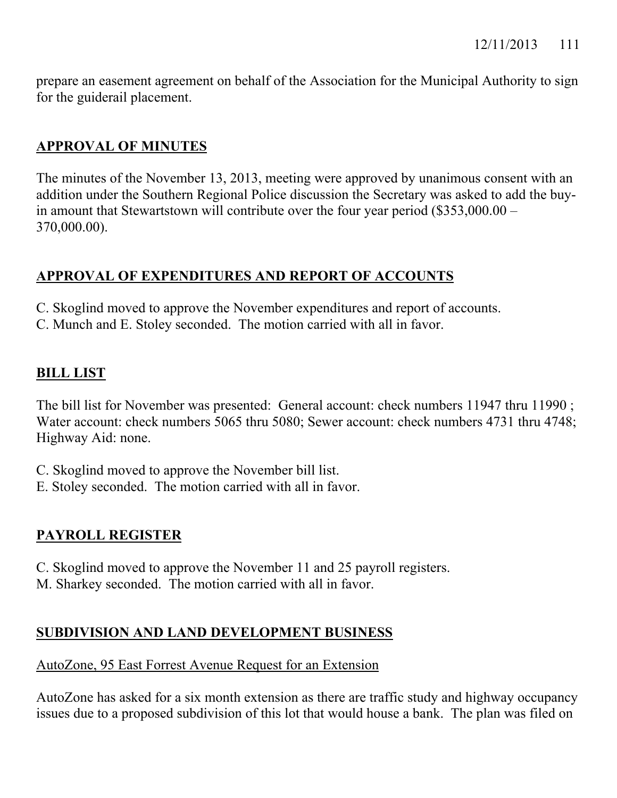prepare an easement agreement on behalf of the Association for the Municipal Authority to sign for the guiderail placement.

# **APPROVAL OF MINUTES**

The minutes of the November 13, 2013, meeting were approved by unanimous consent with an addition under the Southern Regional Police discussion the Secretary was asked to add the buyin amount that Stewartstown will contribute over the four year period (\$353,000.00 – 370,000.00).

# **APPROVAL OF EXPENDITURES AND REPORT OF ACCOUNTS**

- C. Skoglind moved to approve the November expenditures and report of accounts.
- C. Munch and E. Stoley seconded. The motion carried with all in favor.

# **BILL LIST**

The bill list for November was presented: General account: check numbers 11947 thru 11990 ; Water account: check numbers 5065 thru 5080; Sewer account: check numbers 4731 thru 4748; Highway Aid: none.

- C. Skoglind moved to approve the November bill list.
- E. Stoley seconded. The motion carried with all in favor.

# **PAYROLL REGISTER**

- C. Skoglind moved to approve the November 11 and 25 payroll registers.
- M. Sharkey seconded. The motion carried with all in favor.

# **SUBDIVISION AND LAND DEVELOPMENT BUSINESS**

### AutoZone, 95 East Forrest Avenue Request for an Extension

AutoZone has asked for a six month extension as there are traffic study and highway occupancy issues due to a proposed subdivision of this lot that would house a bank. The plan was filed on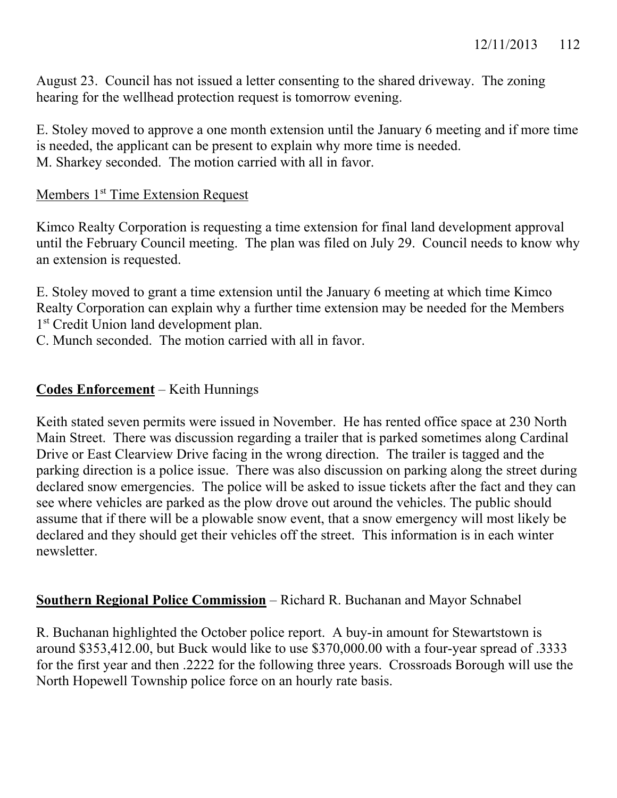August 23. Council has not issued a letter consenting to the shared driveway. The zoning hearing for the wellhead protection request is tomorrow evening.

E. Stoley moved to approve a one month extension until the January 6 meeting and if more time is needed, the applicant can be present to explain why more time is needed. M. Sharkey seconded. The motion carried with all in favor.

### Members 1<sup>st</sup> Time Extension Request

Kimco Realty Corporation is requesting a time extension for final land development approval until the February Council meeting. The plan was filed on July 29. Council needs to know why an extension is requested.

E. Stoley moved to grant a time extension until the January 6 meeting at which time Kimco Realty Corporation can explain why a further time extension may be needed for the Members 1<sup>st</sup> Credit Union land development plan.

C. Munch seconded. The motion carried with all in favor.

# **Codes Enforcement** – Keith Hunnings

Keith stated seven permits were issued in November. He has rented office space at 230 North Main Street. There was discussion regarding a trailer that is parked sometimes along Cardinal Drive or East Clearview Drive facing in the wrong direction. The trailer is tagged and the parking direction is a police issue. There was also discussion on parking along the street during declared snow emergencies. The police will be asked to issue tickets after the fact and they can see where vehicles are parked as the plow drove out around the vehicles. The public should assume that if there will be a plowable snow event, that a snow emergency will most likely be declared and they should get their vehicles off the street. This information is in each winter newsletter.

### **Southern Regional Police Commission** – Richard R. Buchanan and Mayor Schnabel

R. Buchanan highlighted the October police report. A buy-in amount for Stewartstown is around \$353,412.00, but Buck would like to use \$370,000.00 with a four-year spread of .3333 for the first year and then .2222 for the following three years. Crossroads Borough will use the North Hopewell Township police force on an hourly rate basis.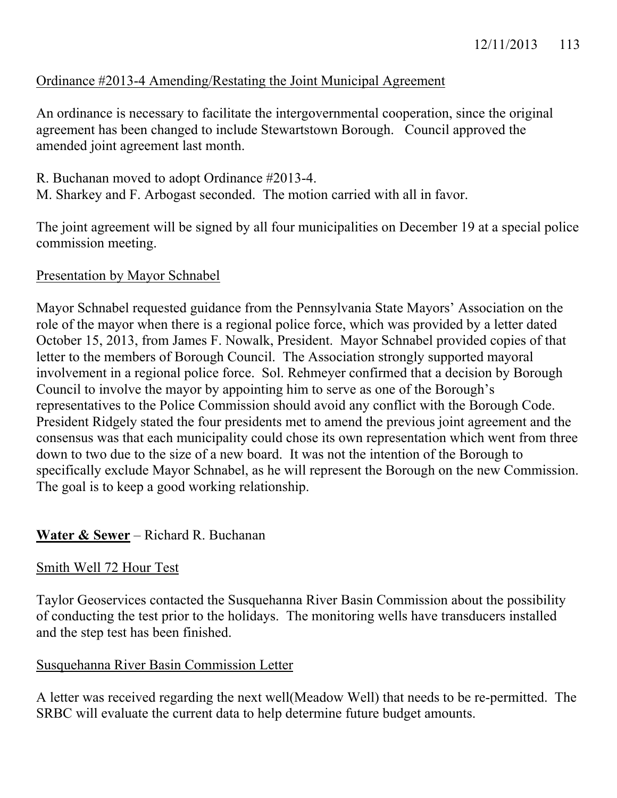# Ordinance #2013-4 Amending/Restating the Joint Municipal Agreement

An ordinance is necessary to facilitate the intergovernmental cooperation, since the original agreement has been changed to include Stewartstown Borough. Council approved the amended joint agreement last month.

- R. Buchanan moved to adopt Ordinance #2013-4.
- M. Sharkey and F. Arbogast seconded. The motion carried with all in favor.

The joint agreement will be signed by all four municipalities on December 19 at a special police commission meeting.

# Presentation by Mayor Schnabel

Mayor Schnabel requested guidance from the Pennsylvania State Mayors' Association on the role of the mayor when there is a regional police force, which was provided by a letter dated October 15, 2013, from James F. Nowalk, President. Mayor Schnabel provided copies of that letter to the members of Borough Council. The Association strongly supported mayoral involvement in a regional police force. Sol. Rehmeyer confirmed that a decision by Borough Council to involve the mayor by appointing him to serve as one of the Borough's representatives to the Police Commission should avoid any conflict with the Borough Code. President Ridgely stated the four presidents met to amend the previous joint agreement and the consensus was that each municipality could chose its own representation which went from three down to two due to the size of a new board. It was not the intention of the Borough to specifically exclude Mayor Schnabel, as he will represent the Borough on the new Commission. The goal is to keep a good working relationship.

# **Water & Sewer** – Richard R. Buchanan

# Smith Well 72 Hour Test

Taylor Geoservices contacted the Susquehanna River Basin Commission about the possibility of conducting the test prior to the holidays. The monitoring wells have transducers installed and the step test has been finished.

# Susquehanna River Basin Commission Letter

A letter was received regarding the next well(Meadow Well) that needs to be re-permitted. The SRBC will evaluate the current data to help determine future budget amounts.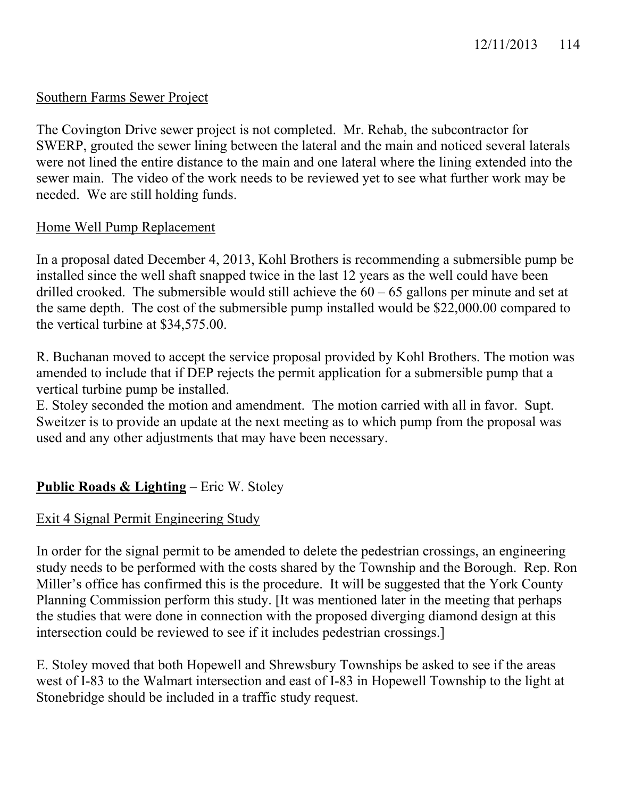# Southern Farms Sewer Project

The Covington Drive sewer project is not completed. Mr. Rehab, the subcontractor for SWERP, grouted the sewer lining between the lateral and the main and noticed several laterals were not lined the entire distance to the main and one lateral where the lining extended into the sewer main. The video of the work needs to be reviewed yet to see what further work may be needed. We are still holding funds.

# Home Well Pump Replacement

In a proposal dated December 4, 2013, Kohl Brothers is recommending a submersible pump be installed since the well shaft snapped twice in the last 12 years as the well could have been drilled crooked. The submersible would still achieve the  $60 - 65$  gallons per minute and set at the same depth. The cost of the submersible pump installed would be \$22,000.00 compared to the vertical turbine at \$34,575.00.

R. Buchanan moved to accept the service proposal provided by Kohl Brothers. The motion was amended to include that if DEP rejects the permit application for a submersible pump that a vertical turbine pump be installed.

E. Stoley seconded the motion and amendment. The motion carried with all in favor. Supt. Sweitzer is to provide an update at the next meeting as to which pump from the proposal was used and any other adjustments that may have been necessary.

# **Public Roads & Lighting** – Eric W. Stoley

# Exit 4 Signal Permit Engineering Study

In order for the signal permit to be amended to delete the pedestrian crossings, an engineering study needs to be performed with the costs shared by the Township and the Borough. Rep. Ron Miller's office has confirmed this is the procedure. It will be suggested that the York County Planning Commission perform this study. [It was mentioned later in the meeting that perhaps the studies that were done in connection with the proposed diverging diamond design at this intersection could be reviewed to see if it includes pedestrian crossings.]

E. Stoley moved that both Hopewell and Shrewsbury Townships be asked to see if the areas west of I-83 to the Walmart intersection and east of I-83 in Hopewell Township to the light at Stonebridge should be included in a traffic study request.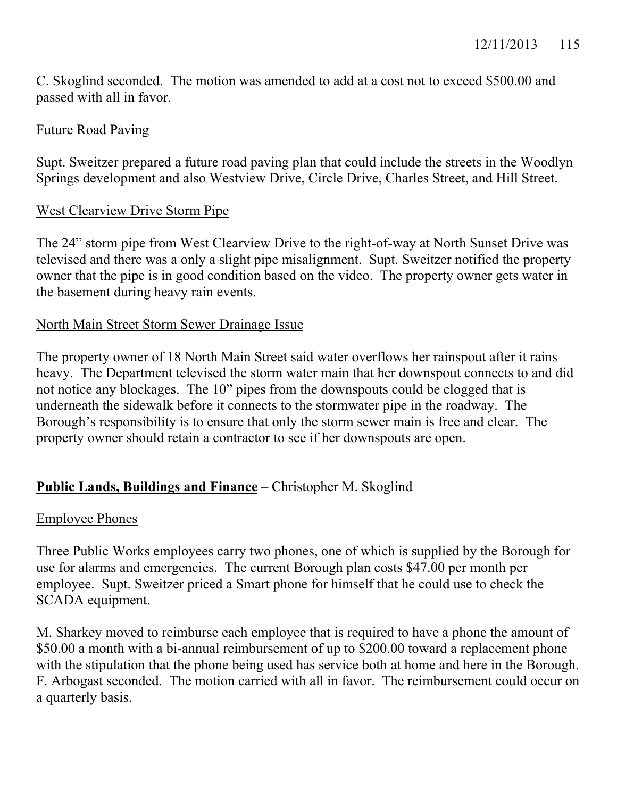C. Skoglind seconded. The motion was amended to add at a cost not to exceed \$500.00 and passed with all in favor.

### Future Road Paving

Supt. Sweitzer prepared a future road paving plan that could include the streets in the Woodlyn Springs development and also Westview Drive, Circle Drive, Charles Street, and Hill Street.

# West Clearview Drive Storm Pipe

The 24" storm pipe from West Clearview Drive to the right-of-way at North Sunset Drive was televised and there was a only a slight pipe misalignment. Supt. Sweitzer notified the property owner that the pipe is in good condition based on the video. The property owner gets water in the basement during heavy rain events.

# North Main Street Storm Sewer Drainage Issue

The property owner of 18 North Main Street said water overflows her rainspout after it rains heavy. The Department televised the storm water main that her downspout connects to and did not notice any blockages. The 10" pipes from the downspouts could be clogged that is underneath the sidewalk before it connects to the stormwater pipe in the roadway. The Borough's responsibility is to ensure that only the storm sewer main is free and clear. The property owner should retain a contractor to see if her downspouts are open.

# **Public Lands, Buildings and Finance** – Christopher M. Skoglind

# Employee Phones

Three Public Works employees carry two phones, one of which is supplied by the Borough for use for alarms and emergencies. The current Borough plan costs \$47.00 per month per employee. Supt. Sweitzer priced a Smart phone for himself that he could use to check the SCADA equipment.

M. Sharkey moved to reimburse each employee that is required to have a phone the amount of \$50.00 a month with a bi-annual reimbursement of up to \$200.00 toward a replacement phone with the stipulation that the phone being used has service both at home and here in the Borough. F. Arbogast seconded. The motion carried with all in favor. The reimbursement could occur on a quarterly basis.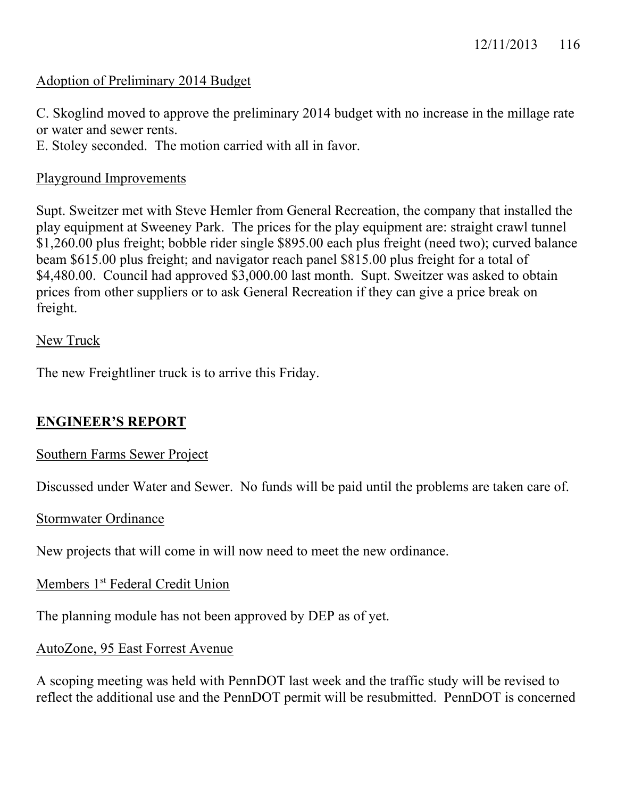### Adoption of Preliminary 2014 Budget

C. Skoglind moved to approve the preliminary 2014 budget with no increase in the millage rate or water and sewer rents.

E. Stoley seconded. The motion carried with all in favor.

### Playground Improvements

Supt. Sweitzer met with Steve Hemler from General Recreation, the company that installed the play equipment at Sweeney Park. The prices for the play equipment are: straight crawl tunnel \$1,260.00 plus freight; bobble rider single \$895.00 each plus freight (need two); curved balance beam \$615.00 plus freight; and navigator reach panel \$815.00 plus freight for a total of \$4,480.00. Council had approved \$3,000.00 last month. Supt. Sweitzer was asked to obtain prices from other suppliers or to ask General Recreation if they can give a price break on freight.

#### New Truck

The new Freightliner truck is to arrive this Friday.

### **ENGINEER'S REPORT**

### Southern Farms Sewer Project

Discussed under Water and Sewer. No funds will be paid until the problems are taken care of.

#### Stormwater Ordinance

New projects that will come in will now need to meet the new ordinance.

### Members 1<sup>st</sup> Federal Credit Union

The planning module has not been approved by DEP as of yet.

### AutoZone, 95 East Forrest Avenue

A scoping meeting was held with PennDOT last week and the traffic study will be revised to reflect the additional use and the PennDOT permit will be resubmitted. PennDOT is concerned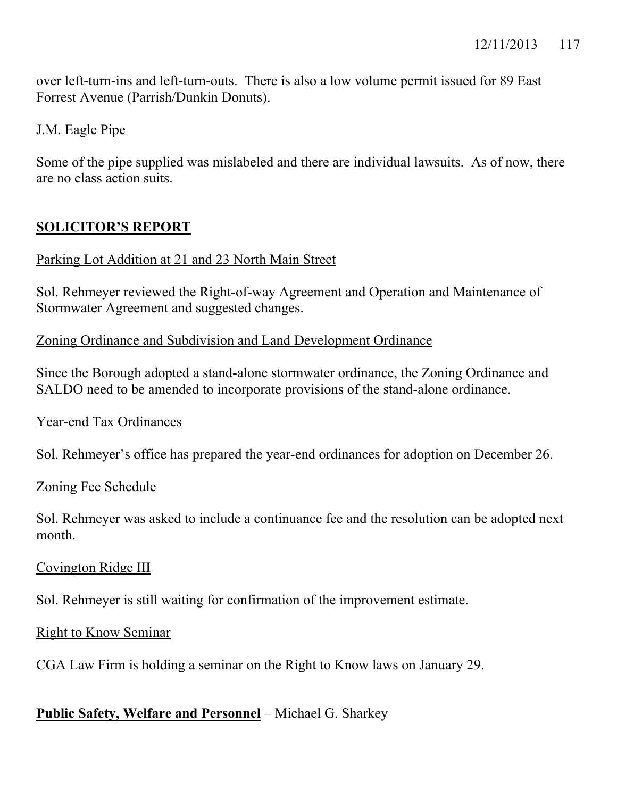over left-turn-ins and left-turn-outs. There is also a low volume permit issued for 89 East Forrest Avenue (Parrish/Dunkin Donuts).

### J.M. Eagle Pipe

Some of the pipe supplied was mislabeled and there are individual lawsuits. As of now, there are no class action suits.

# **SOLICITOR'S REPORT**

### Parking Lot Addition at 21 and 23 North Main Street

Sol. Rehmeyer reviewed the Right-of-way Agreement and Operation and Maintenance of Stormwater Agreement and suggested changes.

### Zoning Ordinance and Subdivision and Land Development Ordinance

Since the Borough adopted a stand-alone stormwater ordinance, the Zoning Ordinance and SALDO need to be amended to incorporate provisions of the stand-alone ordinance.

### Year-end Tax Ordinances

Sol. Rehmeyer's office has prepared the year-end ordinances for adoption on December 26.

### Zoning Fee Schedule

Sol. Rehmeyer was asked to include a continuance fee and the resolution can be adopted next month.

### Covington Ridge III

Sol. Rehmeyer is still waiting for confirmation of the improvement estimate.

### Right to Know Seminar

CGA Law Firm is holding a seminar on the Right to Know laws on January 29.

# **Public Safety, Welfare and Personnel** – Michael G. Sharkey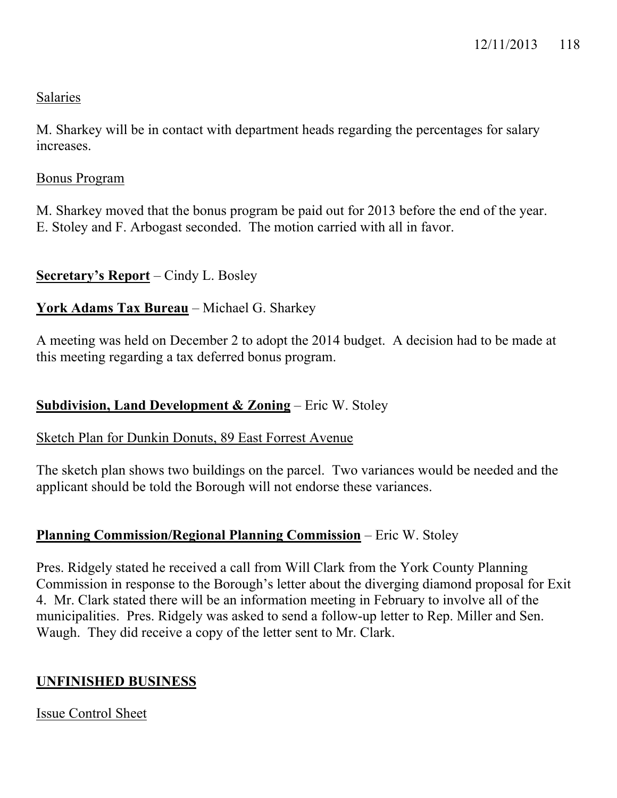# Salaries

M. Sharkey will be in contact with department heads regarding the percentages for salary increases.

# Bonus Program

M. Sharkey moved that the bonus program be paid out for 2013 before the end of the year. E. Stoley and F. Arbogast seconded. The motion carried with all in favor.

# **Secretary's Report** – Cindy L. Bosley

# **York Adams Tax Bureau** – Michael G. Sharkey

A meeting was held on December 2 to adopt the 2014 budget. A decision had to be made at this meeting regarding a tax deferred bonus program.

# **Subdivision, Land Development & Zoning** – Eric W. Stoley

# Sketch Plan for Dunkin Donuts, 89 East Forrest Avenue

The sketch plan shows two buildings on the parcel. Two variances would be needed and the applicant should be told the Borough will not endorse these variances.

# **Planning Commission/Regional Planning Commission** – Eric W. Stoley

Pres. Ridgely stated he received a call from Will Clark from the York County Planning Commission in response to the Borough's letter about the diverging diamond proposal for Exit 4. Mr. Clark stated there will be an information meeting in February to involve all of the municipalities. Pres. Ridgely was asked to send a follow-up letter to Rep. Miller and Sen. Waugh. They did receive a copy of the letter sent to Mr. Clark.

# **UNFINISHED BUSINESS**

Issue Control Sheet